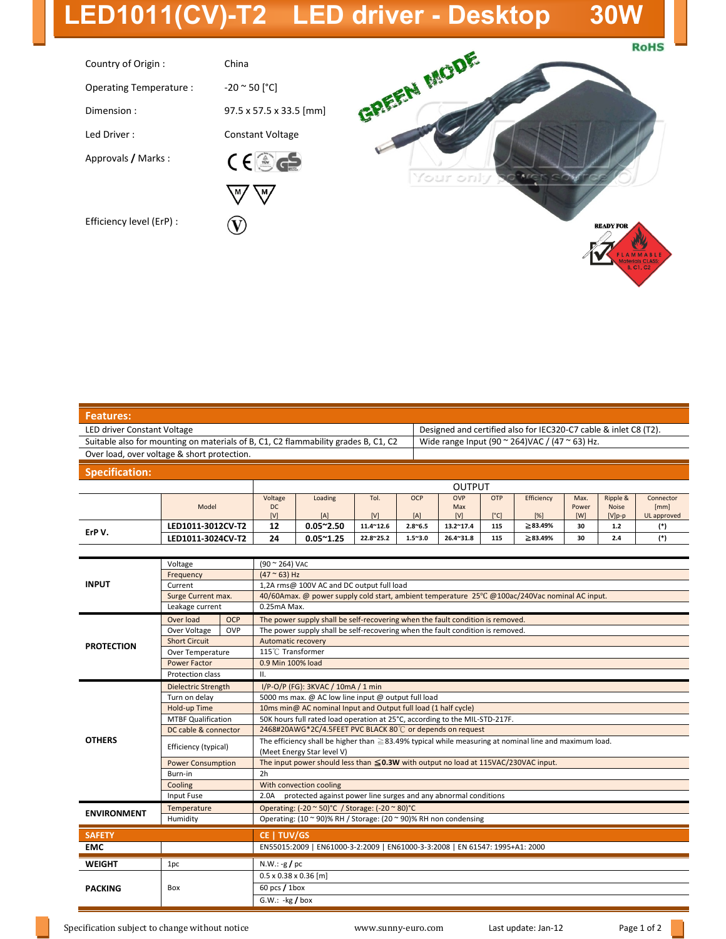## **LED1011(CV)-T2 LED driver - Desktop 30W**

**RoHS** 



| Designed and certified also for IEC320-C7 cable & inlet C8 (T2). |
|------------------------------------------------------------------|
| Wide range Input (90 $\sim$ 264)VAC / (47 $\sim$ 63) Hz.         |
|                                                                  |
|                                                                  |

## **Specification:**

|        |                   |           |                   |                   |                 | <b>OUTPUT</b>     |               |                |       |              |             |
|--------|-------------------|-----------|-------------------|-------------------|-----------------|-------------------|---------------|----------------|-------|--------------|-------------|
|        |                   | Voltage   | Loading           | Tol.              | <b>OCP</b>      | <b>OVP</b>        | OTP           | Efficiency     | Max.  | Ripple &     | Connector   |
|        | Model             | <b>DC</b> |                   |                   |                 | Max               |               |                | Power | <b>Noise</b> | [mm]        |
|        |                   | [V]       | [A]               | [V]               | [A]             | [V]               | $[^{\circ}C]$ | [%]            | [W]   | $[V]p-p$     | UL approved |
| ErP V. | LED1011-3012CV-T2 | 12        | $0.05^{\sim}2.50$ | $11.4^{\sim}12.6$ | $2.8^{\sim}6.5$ | $13.2^{\sim}17.4$ | 115           | $\geq 83.49\%$ | 30    | 1.2          | (*)         |
|        | LED1011-3024CV-T2 | 24        | $0.05^{\sim}1.25$ | 22.8~25.2         | $1.5^{\sim}3.0$ | $26.4^{\sim}31.8$ | 115           | ≥83.49%        | 30    | 2.4          | (*)         |

| <b>INPUT</b>       | Voltage                    |            | (90 ~ 264) VAC                                                                                              |  |  |  |  |  |  |
|--------------------|----------------------------|------------|-------------------------------------------------------------------------------------------------------------|--|--|--|--|--|--|
|                    | Frequency                  |            | $(47 ° 63)$ Hz                                                                                              |  |  |  |  |  |  |
|                    | Current                    |            | 1,2A rms@ 100V AC and DC output full load                                                                   |  |  |  |  |  |  |
|                    | Surge Current max.         |            | 40/60Amax. @ power supply cold start, ambient temperature 25°C @100ac/240Vac nominal AC input.              |  |  |  |  |  |  |
|                    | Leakage current            |            | 0.25mA Max.                                                                                                 |  |  |  |  |  |  |
| <b>PROTECTION</b>  | Over load                  | <b>OCP</b> | The power supply shall be self-recovering when the fault condition is removed.                              |  |  |  |  |  |  |
|                    | Over Voltage               | OVP        | The power supply shall be self-recovering when the fault condition is removed.                              |  |  |  |  |  |  |
|                    | <b>Short Circuit</b>       |            | Automatic recovery                                                                                          |  |  |  |  |  |  |
|                    | Over Temperature           |            | 115°C Transformer                                                                                           |  |  |  |  |  |  |
|                    | <b>Power Factor</b>        |            | 0.9 Min 100% load                                                                                           |  |  |  |  |  |  |
|                    | Protection class           |            | ΙΙ.                                                                                                         |  |  |  |  |  |  |
| <b>OTHERS</b>      | <b>Dielectric Strength</b> |            | I/P-O/P (FG): 3KVAC / 10mA / 1 min                                                                          |  |  |  |  |  |  |
|                    | Turn on delay              |            | 5000 ms max. @ AC low line input @ output full load                                                         |  |  |  |  |  |  |
|                    | Hold-up Time               |            | 10ms min@ AC nominal Input and Output full load (1 half cycle)                                              |  |  |  |  |  |  |
|                    | <b>MTBF Qualification</b>  |            | 50K hours full rated load operation at 25°C, according to the MIL-STD-217F.                                 |  |  |  |  |  |  |
|                    | DC cable & connector       |            | 2468#20AWG*2C/4.5FEET PVC BLACK 80°C or depends on request                                                  |  |  |  |  |  |  |
|                    | Efficiency (typical)       |            | The efficiency shall be higher than $\geq$ 83.49% typical while measuring at nominal line and maximum load. |  |  |  |  |  |  |
|                    |                            |            | (Meet Energy Star level V)                                                                                  |  |  |  |  |  |  |
|                    | <b>Power Consumption</b>   |            | The input power should less than $\leq$ 0.3W with output no load at 115VAC/230VAC input.                    |  |  |  |  |  |  |
|                    | Burn-in                    |            | 2h                                                                                                          |  |  |  |  |  |  |
|                    | Cooling                    |            | With convection cooling                                                                                     |  |  |  |  |  |  |
|                    | Input Fuse                 |            | protected against power line surges and any abnormal conditions<br>2.0A                                     |  |  |  |  |  |  |
| <b>ENVIRONMENT</b> | Temperature                |            | Operating: (-20 ~ 50)°C / Storage: (-20 ~ 80)°C                                                             |  |  |  |  |  |  |
|                    | Humidity                   |            | Operating: (10 ~ 90)% RH / Storage: (20 ~ 90)% RH non condensing                                            |  |  |  |  |  |  |
| <b>SAFETY</b>      |                            |            | CE   TUV/GS                                                                                                 |  |  |  |  |  |  |
| <b>EMC</b>         |                            |            | EN55015:2009   EN61000-3-2:2009   EN61000-3-3:2008   EN 61547: 1995+A1: 2000                                |  |  |  |  |  |  |
| <b>WEIGHT</b>      | 1pc                        |            | $N.W.: -g$ / pc                                                                                             |  |  |  |  |  |  |
|                    |                            |            | $0.5 \times 0.38 \times 0.36$ [m]                                                                           |  |  |  |  |  |  |
| <b>PACKING</b>     | Box                        |            |                                                                                                             |  |  |  |  |  |  |
|                    |                            |            | 60 pcs $/1$ box                                                                                             |  |  |  |  |  |  |
|                    |                            |            | $G.W.:$ -kg / box                                                                                           |  |  |  |  |  |  |